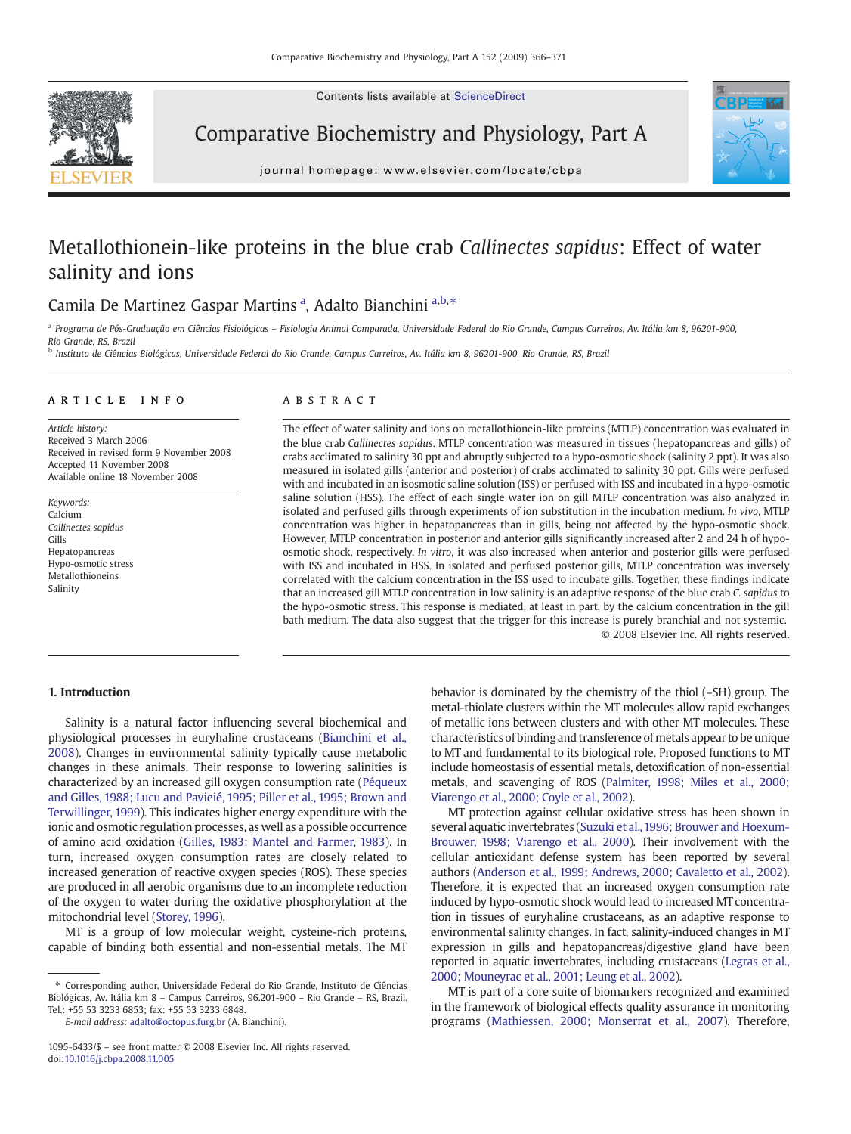Contents lists available at ScienceDirect



Comparative Biochemistry and Physiology, Part A



journal homepage: www.elsevier.com/locate/cbpa

# Metallothionein-like proteins in the blue crab Callinectes sapidus: Effect of water salinity and ions

## Camila De Martinez Gaspar Martins<sup>a</sup>, Adalto Bianchini<sup>a,b,\*</sup>

a Programa de Pós-Graduação em Ciências Fisiológicas - Fisiologia Animal Comparada, Universidade Federal do Rio Grande, Campus Carreiros, Av. Itália km 8, 96201-900, Rio Grande, RS, Brazil

<sup>b</sup> Instituto de Ciências Biológicas, Universidade Federal do Rio Grande, Campus Carreiros, Av. Itália km 8, 96201-900, Rio Grande, RS, Brazil

#### article info abstract

Article history: Received 3 March 2006 Received in revised form 9 November 2008 Accepted 11 November 2008 Available online 18 November 2008

Keywords: Calcium Callinectes sapidus Gills Hepatopancreas Hypo-osmotic stress Metallothioneins Salinity

The effect of water salinity and ions on metallothionein-like proteins (MTLP) concentration was evaluated in the blue crab Callinectes sapidus. MTLP concentration was measured in tissues (hepatopancreas and gills) of crabs acclimated to salinity 30 ppt and abruptly subjected to a hypo-osmotic shock (salinity 2 ppt). It was also measured in isolated gills (anterior and posterior) of crabs acclimated to salinity 30 ppt. Gills were perfused with and incubated in an isosmotic saline solution (ISS) or perfused with ISS and incubated in a hypo-osmotic saline solution (HSS). The effect of each single water ion on gill MTLP concentration was also analyzed in isolated and perfused gills through experiments of ion substitution in the incubation medium. In vivo, MTLP concentration was higher in hepatopancreas than in gills, being not affected by the hypo-osmotic shock. However, MTLP concentration in posterior and anterior gills significantly increased after 2 and 24 h of hypoosmotic shock, respectively. In vitro, it was also increased when anterior and posterior gills were perfused with ISS and incubated in HSS. In isolated and perfused posterior gills, MTLP concentration was inversely correlated with the calcium concentration in the ISS used to incubate gills. Together, these findings indicate that an increased gill MTLP concentration in low salinity is an adaptive response of the blue crab C. sapidus to the hypo-osmotic stress. This response is mediated, at least in part, by the calcium concentration in the gill bath medium. The data also suggest that the trigger for this increase is purely branchial and not systemic. © 2008 Elsevier Inc. All rights reserved.

### 1. Introduction

Salinity is a natural factor influencing several biochemical and physiological processes in euryhaline crustaceans [\(Bianchini et al.,](#page-4-0) [2008](#page-4-0)). Changes in environmental salinity typically cause metabolic changes in these animals. Their response to lowering salinities is characterized by an increased gill oxygen consumption rate ([Péqueux](#page-4-0) [and Gilles, 1988; Lucu and Pavieié, 1995; Piller et al., 1995; Brown and](#page-4-0) [Terwillinger, 1999](#page-4-0)). This indicates higher energy expenditure with the ionic and osmotic regulation processes, as well as a possible occurrence of amino acid oxidation ([Gilles, 1983; Mantel and Farmer, 1983\)](#page-4-0). In turn, increased oxygen consumption rates are closely related to increased generation of reactive oxygen species (ROS). These species are produced in all aerobic organisms due to an incomplete reduction of the oxygen to water during the oxidative phosphorylation at the mitochondrial level [\(Storey, 1996\)](#page-5-0).

MT is a group of low molecular weight, cysteine-rich proteins, capable of binding both essential and non-essential metals. The MT

E-mail address: [adalto@octopus.furg.br](mailto:adalto@octopus.furg.br) (A. Bianchini).

behavior is dominated by the chemistry of the thiol (–SH) group. The metal-thiolate clusters within the MT molecules allow rapid exchanges of metallic ions between clusters and with other MT molecules. These characteristics of binding and transference of metals appear to be unique to MT and fundamental to its biological role. Proposed functions to MT include homeostasis of essential metals, detoxification of non-essential metals, and scavenging of ROS [\(Palmiter, 1998; Miles et al., 2000;](#page-4-0) [Viarengo et al., 2000; Coyle et al., 2002\)](#page-4-0).

MT protection against cellular oxidative stress has been shown in several aquatic invertebrates [\(Suzuki et al., 1996; Brouwer and Hoexum-](#page-5-0)[Brouwer, 1998; Viarengo et al., 2000](#page-5-0)). Their involvement with the cellular antioxidant defense system has been reported by several authors [\(Anderson et al., 1999; Andrews, 2000; Cavaletto et al., 2002](#page-4-0)). Therefore, it is expected that an increased oxygen consumption rate induced by hypo-osmotic shock would lead to increased MT concentration in tissues of euryhaline crustaceans, as an adaptive response to environmental salinity changes. In fact, salinity-induced changes in MT expression in gills and hepatopancreas/digestive gland have been reported in aquatic invertebrates, including crustaceans ([Legras et al.,](#page-4-0) [2000; Mouneyrac et al., 2001; Leung et al., 2002\)](#page-4-0).

MT is part of a core suite of biomarkers recognized and examined in the framework of biological effects quality assurance in monitoring programs [\(Mathiessen, 2000; Monserrat et al., 2007](#page-4-0)). Therefore,

<sup>⁎</sup> Corresponding author. Universidade Federal do Rio Grande, Instituto de Ciências Biológicas, Av. Itália km 8 – Campus Carreiros, 96.201-900 – Rio Grande – RS, Brazil. Tel.: +55 53 3233 6853; fax: +55 53 3233 6848.

<sup>1095-6433/\$</sup> – see front matter © 2008 Elsevier Inc. All rights reserved. doi[:10.1016/j.cbpa.2008.11.005](http://dx.doi.org/10.1016/j.cbpa.2008.11.005)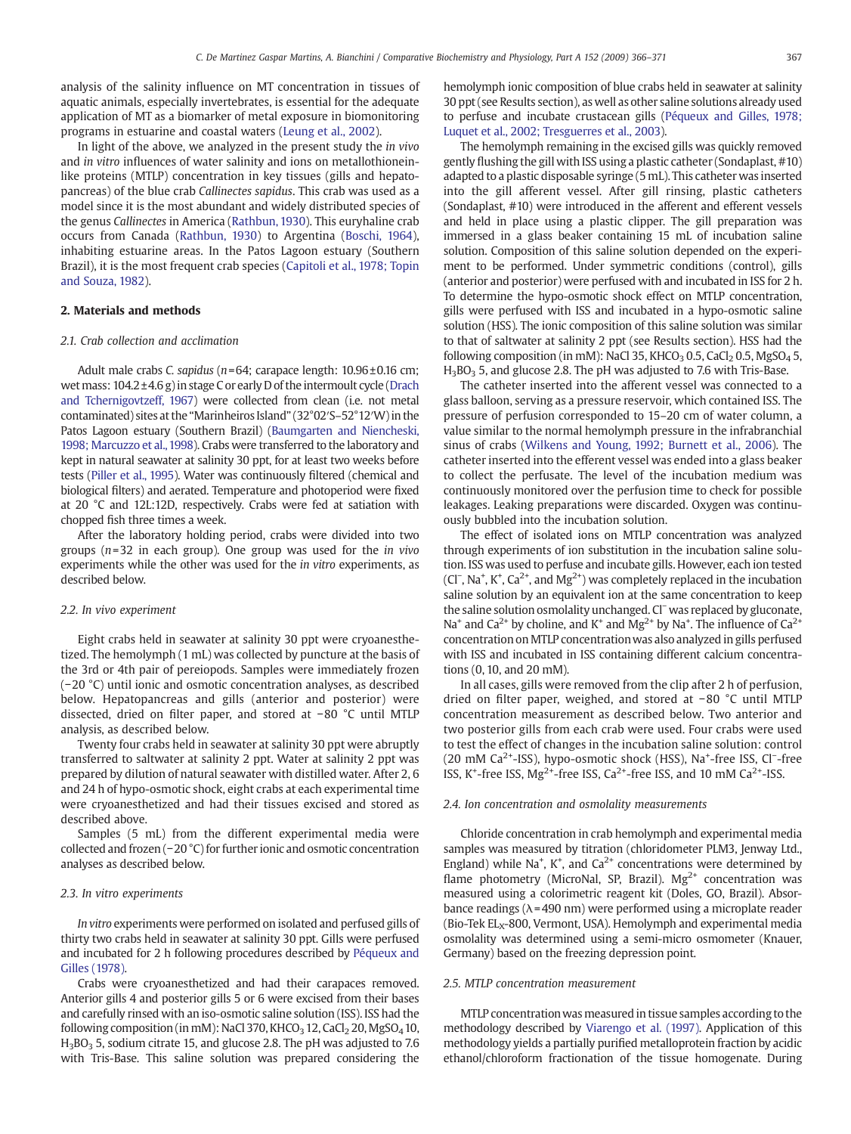analysis of the salinity influence on MT concentration in tissues of aquatic animals, especially invertebrates, is essential for the adequate application of MT as a biomarker of metal exposure in biomonitoring programs in estuarine and coastal waters [\(Leung et al., 2002\)](#page-4-0).

In light of the above, we analyzed in the present study the in vivo and in vitro influences of water salinity and ions on metallothioneinlike proteins (MTLP) concentration in key tissues (gills and hepatopancreas) of the blue crab Callinectes sapidus. This crab was used as a model since it is the most abundant and widely distributed species of the genus Callinectes in America [\(Rathbun, 1930\)](#page-4-0). This euryhaline crab occurs from Canada ([Rathbun, 1930\)](#page-4-0) to Argentina ([Boschi, 1964\)](#page-4-0), inhabiting estuarine areas. In the Patos Lagoon estuary (Southern Brazil), it is the most frequent crab species ([Capitoli et al., 1978; Topin](#page-4-0) [and Souza, 1982](#page-4-0)).

#### 2. Materials and methods

#### 2.1. Crab collection and acclimation

Adult male crabs C. sapidus ( $n=64$ ; carapace length:  $10.96 \pm 0.16$  cm; wet mass: 104.2±4.6 g) in stage C or early D of the intermoult cycle ([Drach](#page-4-0) [and Tchernigovtzeff, 1967](#page-4-0)) were collected from clean (i.e. not metal contaminated) sites at the "Marinheiros Island" (32°02′S–52°12′W) in the Patos Lagoon estuary (Southern Brazil) [\(Baumgarten and Niencheski,](#page-4-0) [1998; Marcuzzo et al.,1998](#page-4-0)). Crabs were transferred to the laboratory and kept in natural seawater at salinity 30 ppt, for at least two weeks before tests ([Piller et al., 1995\)](#page-4-0). Water was continuously filtered (chemical and biological filters) and aerated. Temperature and photoperiod were fixed at 20 °C and 12L:12D, respectively. Crabs were fed at satiation with chopped fish three times a week.

After the laboratory holding period, crabs were divided into two groups  $(n=32)$  in each group). One group was used for the *in vivo* experiments while the other was used for the in vitro experiments, as described below.

#### 2.2. In vivo experiment

Eight crabs held in seawater at salinity 30 ppt were cryoanesthetized. The hemolymph (1 mL) was collected by puncture at the basis of the 3rd or 4th pair of pereiopods. Samples were immediately frozen (−20 °C) until ionic and osmotic concentration analyses, as described below. Hepatopancreas and gills (anterior and posterior) were dissected, dried on filter paper, and stored at −80 °C until MTLP analysis, as described below.

Twenty four crabs held in seawater at salinity 30 ppt were abruptly transferred to saltwater at salinity 2 ppt. Water at salinity 2 ppt was prepared by dilution of natural seawater with distilled water. After 2, 6 and 24 h of hypo-osmotic shock, eight crabs at each experimental time were cryoanesthetized and had their tissues excised and stored as described above.

Samples (5 mL) from the different experimental media were collected and frozen (−20 °C) for further ionic and osmotic concentration analyses as described below.

#### 2.3. In vitro experiments

In vitro experiments were performed on isolated and perfused gills of thirty two crabs held in seawater at salinity 30 ppt. Gills were perfused and incubated for 2 h following procedures described by [Péqueux and](#page-4-0) [Gilles \(1978\)](#page-4-0).

Crabs were cryoanesthetized and had their carapaces removed. Anterior gills 4 and posterior gills 5 or 6 were excised from their bases and carefully rinsed with an iso-osmotic saline solution (ISS). ISS had the following composition (in mM): NaCl 370, KHCO<sub>3</sub> 12, CaCl<sub>2</sub> 20, MgSO<sub>4</sub> 10,  $H_3BO_3$  5, sodium citrate 15, and glucose 2.8. The pH was adjusted to 7.6 with Tris-Base. This saline solution was prepared considering the hemolymph ionic composition of blue crabs held in seawater at salinity 30 ppt (see Results section), as well as other saline solutions already used to perfuse and incubate crustacean gills ([Péqueux and Gilles, 1978;](#page-4-0) [Luquet et al., 2002; Tresguerres et al., 2003](#page-4-0)).

The hemolymph remaining in the excised gills was quickly removed gently flushing the gill with ISS using a plastic catheter (Sondaplast, #10) adapted to a plastic disposable syringe (5 mL). This catheter was inserted into the gill afferent vessel. After gill rinsing, plastic catheters (Sondaplast, #10) were introduced in the afferent and efferent vessels and held in place using a plastic clipper. The gill preparation was immersed in a glass beaker containing 15 mL of incubation saline solution. Composition of this saline solution depended on the experiment to be performed. Under symmetric conditions (control), gills (anterior and posterior) were perfused with and incubated in ISS for 2 h. To determine the hypo-osmotic shock effect on MTLP concentration, gills were perfused with ISS and incubated in a hypo-osmotic saline solution (HSS). The ionic composition of this saline solution was similar to that of saltwater at salinity 2 ppt (see Results section). HSS had the following composition (in mM): NaCl 35, KHCO<sub>3</sub> 0.5, CaCl<sub>2</sub> 0.5, MgSO<sub>4</sub> 5, H<sub>3</sub>BO<sub>3</sub> 5, and glucose 2.8. The pH was adjusted to 7.6 with Tris-Base.

The catheter inserted into the afferent vessel was connected to a glass balloon, serving as a pressure reservoir, which contained ISS. The pressure of perfusion corresponded to 15–20 cm of water column, a value similar to the normal hemolymph pressure in the infrabranchial sinus of crabs ([Wilkens and Young, 1992; Burnett et al., 2006](#page-5-0)). The catheter inserted into the efferent vessel was ended into a glass beaker to collect the perfusate. The level of the incubation medium was continuously monitored over the perfusion time to check for possible leakages. Leaking preparations were discarded. Oxygen was continuously bubbled into the incubation solution.

The effect of isolated ions on MTLP concentration was analyzed through experiments of ion substitution in the incubation saline solution. ISS was used to perfuse and incubate gills. However, each ion tested (Cl<sup>-</sup>, Na<sup>+</sup>, K<sup>+</sup>, Ca<sup>2+</sup>, and Mg<sup>2+</sup>) was completely replaced in the incubation saline solution by an equivalent ion at the same concentration to keep the saline solution osmolality unchanged. Cl<sup>−</sup> was replaced by gluconate, Na<sup>+</sup> and Ca<sup>2+</sup> by choline, and K<sup>+</sup> and Mg<sup>2+</sup> by Na<sup>+</sup>. The influence of Ca<sup>2+</sup> concentration on MTLP concentrationwas also analyzed in gills perfused with ISS and incubated in ISS containing different calcium concentrations (0, 10, and 20 mM).

In all cases, gills were removed from the clip after 2 h of perfusion, dried on filter paper, weighed, and stored at −80 °C until MTLP concentration measurement as described below. Two anterior and two posterior gills from each crab were used. Four crabs were used to test the effect of changes in the incubation saline solution: control (20 mM Ca<sup>2+</sup>-ISS), hypo-osmotic shock (HSS), Na<sup>+</sup>-free ISS, Cl<sup>-</sup>-free ISS, K<sup>+</sup>-free ISS, Mg<sup>2+</sup>-free ISS, Ca<sup>2+</sup>-free ISS, and 10 mM Ca<sup>2+</sup>-ISS.

#### 2.4. Ion concentration and osmolality measurements

Chloride concentration in crab hemolymph and experimental media samples was measured by titration (chloridometer PLM3, Jenway Ltd., England) while Na<sup>+</sup>, K<sup>+</sup>, and Ca<sup>2+</sup> concentrations were determined by flame photometry (MicroNal, SP, Brazil).  $Mg^{2+}$  concentration was measured using a colorimetric reagent kit (Doles, GO, Brazil). Absorbance readings ( $\lambda$ =490 nm) were performed using a microplate reader (Bio-Tek  $EL<sub>X</sub>$ -800, Vermont, USA). Hemolymph and experimental media osmolality was determined using a semi-micro osmometer (Knauer, Germany) based on the freezing depression point.

#### 2.5. MTLP concentration measurement

MTLP concentration was measured in tissue samples according to the methodology described by [Viarengo et al. \(1997\)](#page-5-0). Application of this methodology yields a partially purified metalloprotein fraction by acidic ethanol/chloroform fractionation of the tissue homogenate. During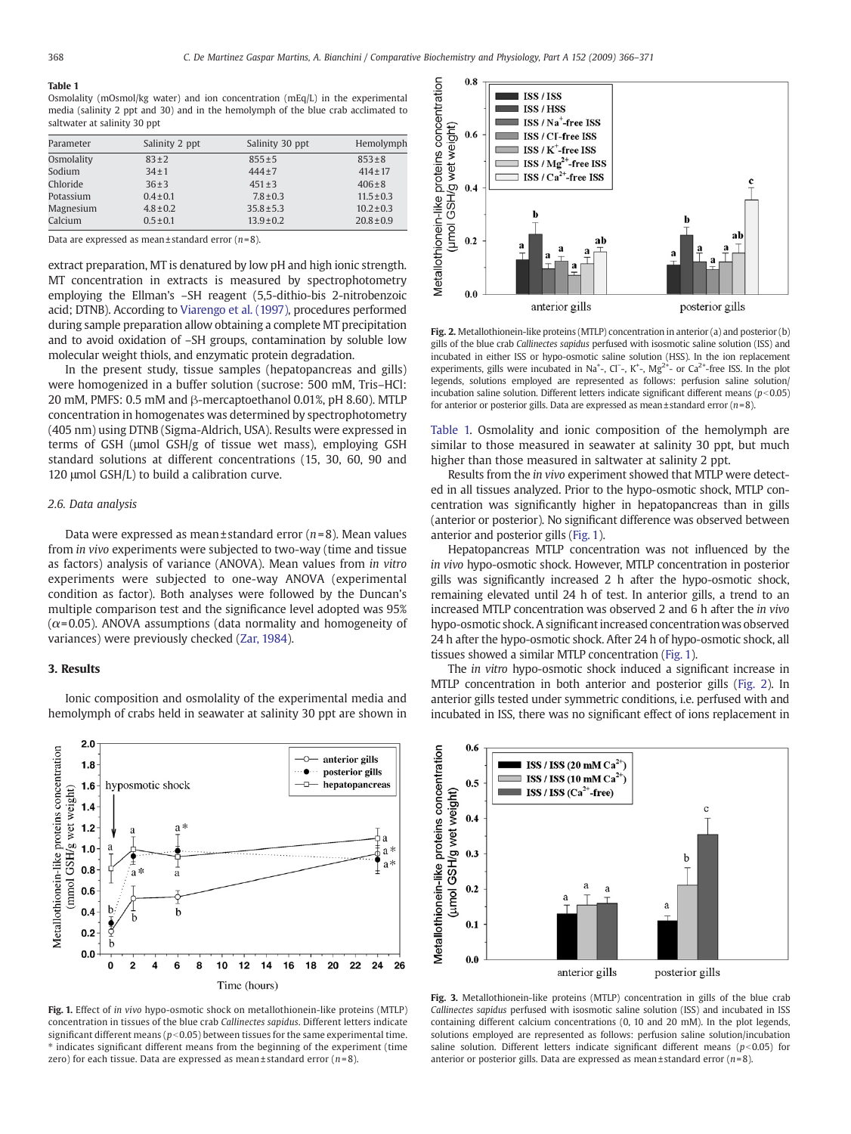#### <span id="page-2-0"></span>Table 1

Osmolality (mOsmol/kg water) and ion concentration (mEq/L) in the experimental media (salinity 2 ppt and 30) and in the hemolymph of the blue crab acclimated to saltwater at salinity 30 ppt

| Parameter  | Salinity 2 ppt | Salinity 30 ppt | Hemolymph      |
|------------|----------------|-----------------|----------------|
| Osmolality | $83+2$         | $855 \pm 5$     | $853 \pm 8$    |
| Sodium     | $34 + 1$       | $444 + 7$       | $414 \pm 17$   |
| Chloride   | $36+3$         | $451 \pm 3$     | $406 \pm 8$    |
| Potassium  | $0.4 \pm 0.1$  | $7.8 \pm 0.3$   | $11.5 \pm 0.3$ |
| Magnesium  | $4.8 \pm 0.2$  | $35.8 \pm 5.3$  | $10.2 \pm 0.3$ |
| Calcium    | $0.5 \pm 0.1$  | $13.9 \pm 0.2$  | $20.8 \pm 0.9$ |

Data are expressed as mean ± standard error  $(n=8)$ .

extract preparation, MT is denatured by low pH and high ionic strength. MT concentration in extracts is measured by spectrophotometry employing the Ellman's –SH reagent (5,5-dithio-bis 2-nitrobenzoic acid; DTNB). According to [Viarengo et al. \(1997\),](#page-5-0) procedures performed during sample preparation allow obtaining a complete MT precipitation and to avoid oxidation of –SH groups, contamination by soluble low molecular weight thiols, and enzymatic protein degradation.

In the present study, tissue samples (hepatopancreas and gills) were homogenized in a buffer solution (sucrose: 500 mM, Tris–HCl: 20 mM, PMFS: 0.5 mM and β-mercaptoethanol 0.01%, pH 8.60). MTLP concentration in homogenates was determined by spectrophotometry (405 nm) using DTNB (Sigma-Aldrich, USA). Results were expressed in terms of GSH (μmol GSH/g of tissue wet mass), employing GSH standard solutions at different concentrations (15, 30, 60, 90 and 120 μmol GSH/L) to build a calibration curve.

#### 2.6. Data analysis

Data were expressed as mean  $\pm$  standard error ( $n=8$ ). Mean values from in vivo experiments were subjected to two-way (time and tissue as factors) analysis of variance (ANOVA). Mean values from in vitro experiments were subjected to one-way ANOVA (experimental condition as factor). Both analyses were followed by the Duncan's multiple comparison test and the significance level adopted was 95%  $(\alpha = 0.05)$ . ANOVA assumptions (data normality and homogeneity of variances) were previously checked [\(Zar, 1984](#page-5-0)).

#### 3. Results



Ionic composition and osmolality of the experimental media and hemolymph of crabs held in seawater at salinity 30 ppt are shown in

Fig. 1. Effect of in vivo hypo-osmotic shock on metallothionein-like proteins (MTLP) concentration in tissues of the blue crab Callinectes sapidus. Different letters indicate significant different means ( $p<0.05$ ) between tissues for the same experimental time. ⁎ indicates significant different means from the beginning of the experiment (time zero) for each tissue. Data are expressed as mean  $\pm$  standard error ( $n=8$ ).



Fig. 2. Metallothionein-like proteins (MTLP) concentration in anterior (a) and posterior (b) gills of the blue crab Callinectes sapidus perfused with isosmotic saline solution (ISS) and incubated in either ISS or hypo-osmotic saline solution (HSS). In the ion replacement experiments, gills were incubated in Na<sup>+</sup>-, Cl<sup>−</sup>-, K<sup>+</sup>-, Mg<sup>2+</sup>- or Ca<sup>2+</sup>-free ISS. In the plot legends, solutions employed are represented as follows: perfusion saline solution/ incubation saline solution. Different letters indicate significant different means ( $p<0.05$ ) for anterior or posterior gills. Data are expressed as mean $\pm$ standard error (n=8).

Table 1. Osmolality and ionic composition of the hemolymph are similar to those measured in seawater at salinity 30 ppt, but much higher than those measured in saltwater at salinity 2 ppt.

Results from the in vivo experiment showed that MTLP were detected in all tissues analyzed. Prior to the hypo-osmotic shock, MTLP concentration was significantly higher in hepatopancreas than in gills (anterior or posterior). No significant difference was observed between anterior and posterior gills (Fig. 1).

Hepatopancreas MTLP concentration was not influenced by the in vivo hypo-osmotic shock. However, MTLP concentration in posterior gills was significantly increased 2 h after the hypo-osmotic shock, remaining elevated until 24 h of test. In anterior gills, a trend to an increased MTLP concentration was observed 2 and 6 h after the in vivo hypo-osmotic shock. A significant increased concentration was observed 24 h after the hypo-osmotic shock. After 24 h of hypo-osmotic shock, all tissues showed a similar MTLP concentration (Fig. 1).

The in vitro hypo-osmotic shock induced a significant increase in MTLP concentration in both anterior and posterior gills (Fig. 2). In anterior gills tested under symmetric conditions, i.e. perfused with and incubated in ISS, there was no significant effect of ions replacement in



Fig. 3. Metallothionein-like proteins (MTLP) concentration in gills of the blue crab Callinectes sapidus perfused with isosmotic saline solution (ISS) and incubated in ISS containing different calcium concentrations (0, 10 and 20 mM). In the plot legends, solutions employed are represented as follows: perfusion saline solution/incubation saline solution. Different letters indicate significant different means ( $p<0.05$ ) for anterior or posterior gills. Data are expressed as mean ± standard error  $(n=8)$ .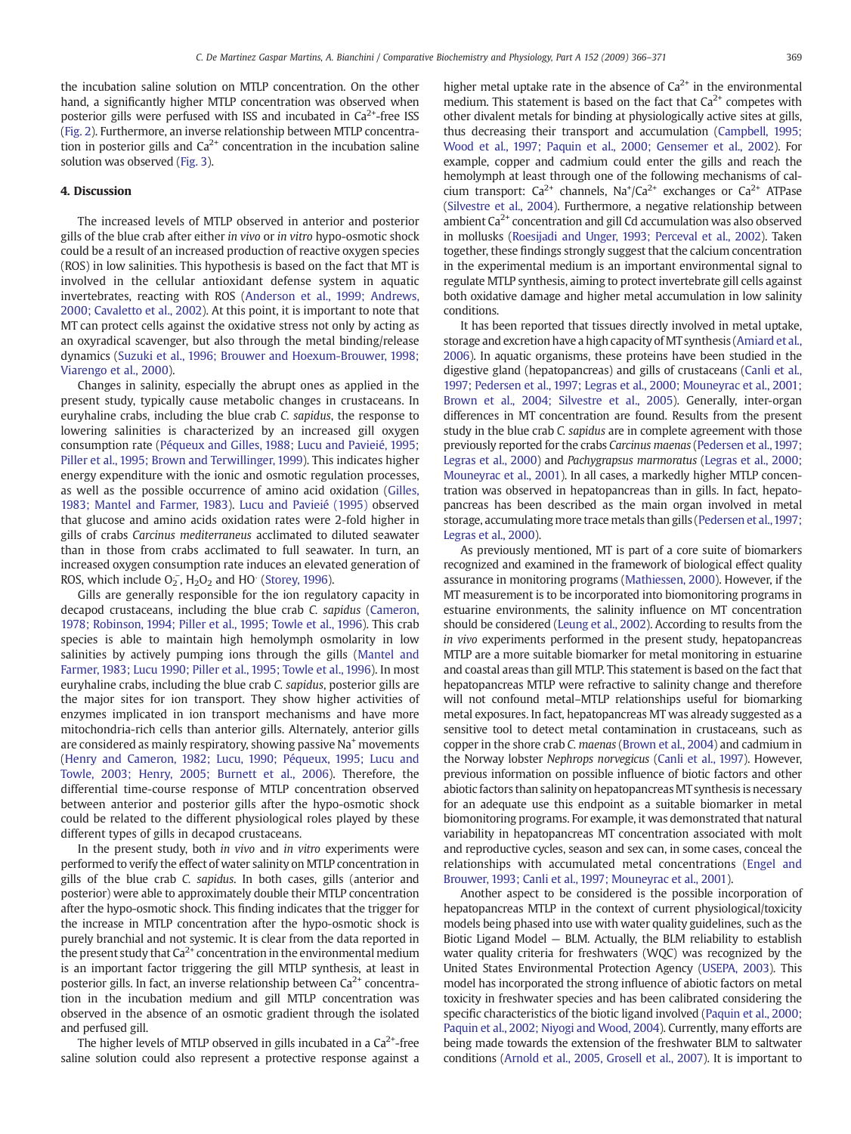the incubation saline solution on MTLP concentration. On the other hand, a significantly higher MTLP concentration was observed when posterior gills were perfused with ISS and incubated in  $Ca<sup>2+</sup>$ -free ISS [\(Fig. 2\)](#page-2-0). Furthermore, an inverse relationship between MTLP concentration in posterior gills and  $Ca^{2+}$  concentration in the incubation saline solution was observed [\(Fig. 3](#page-2-0)).

#### 4. Discussion

The increased levels of MTLP observed in anterior and posterior gills of the blue crab after either in vivo or in vitro hypo-osmotic shock could be a result of an increased production of reactive oxygen species (ROS) in low salinities. This hypothesis is based on the fact that MT is involved in the cellular antioxidant defense system in aquatic invertebrates, reacting with ROS ([Anderson et al., 1999; Andrews,](#page-4-0) [2000; Cavaletto et al., 2002](#page-4-0)). At this point, it is important to note that MT can protect cells against the oxidative stress not only by acting as an oxyradical scavenger, but also through the metal binding/release dynamics ([Suzuki et al., 1996; Brouwer and Hoexum-Brouwer, 1998;](#page-5-0) [Viarengo et al., 2000\)](#page-5-0).

Changes in salinity, especially the abrupt ones as applied in the present study, typically cause metabolic changes in crustaceans. In euryhaline crabs, including the blue crab C. sapidus, the response to lowering salinities is characterized by an increased gill oxygen consumption rate [\(Péqueux and Gilles, 1988; Lucu and Pavieié, 1995;](#page-4-0) [Piller et al., 1995; Brown and Terwillinger, 1999\)](#page-4-0). This indicates higher energy expenditure with the ionic and osmotic regulation processes, as well as the possible occurrence of amino acid oxidation ([Gilles,](#page-4-0) [1983; Mantel and Farmer, 1983\)](#page-4-0). [Lucu and Pavieié \(1995\)](#page-4-0) observed that glucose and amino acids oxidation rates were 2-fold higher in gills of crabs Carcinus mediterraneus acclimated to diluted seawater than in those from crabs acclimated to full seawater. In turn, an increased oxygen consumption rate induces an elevated generation of ROS, which include  $O_2^-$ ,  $H_2O_2$  and HO ([Storey, 1996](#page-5-0)).

Gills are generally responsible for the ion regulatory capacity in decapod crustaceans, including the blue crab C. sapidus [\(Cameron,](#page-4-0) [1978; Robinson, 1994; Piller et al., 1995; Towle et al., 1996\)](#page-4-0). This crab species is able to maintain high hemolymph osmolarity in low salinities by actively pumping ions through the gills [\(Mantel and](#page-4-0) [Farmer, 1983; Lucu 1990; Piller et al., 1995; Towle et al., 1996\)](#page-4-0). In most euryhaline crabs, including the blue crab C. sapidus, posterior gills are the major sites for ion transport. They show higher activities of enzymes implicated in ion transport mechanisms and have more mitochondria-rich cells than anterior gills. Alternately, anterior gills are considered as mainly respiratory, showing passive Na<sup>+</sup> movements [\(Henry and Cameron, 1982; Lucu, 1990; Péqueux, 1995; Lucu and](#page-4-0) [Towle, 2003; Henry, 2005; Burnett et al., 2006](#page-4-0)). Therefore, the differential time-course response of MTLP concentration observed between anterior and posterior gills after the hypo-osmotic shock could be related to the different physiological roles played by these different types of gills in decapod crustaceans.

In the present study, both in vivo and in vitro experiments were performed to verify the effect of water salinity on MTLP concentration in gills of the blue crab C. sapidus. In both cases, gills (anterior and posterior) were able to approximately double their MTLP concentration after the hypo-osmotic shock. This finding indicates that the trigger for the increase in MTLP concentration after the hypo-osmotic shock is purely branchial and not systemic. It is clear from the data reported in the present study that  $Ca^{2+}$  concentration in the environmental medium is an important factor triggering the gill MTLP synthesis, at least in posterior gills. In fact, an inverse relationship between  $Ca^{2+}$  concentration in the incubation medium and gill MTLP concentration was observed in the absence of an osmotic gradient through the isolated and perfused gill.

The higher levels of MTLP observed in gills incubated in a  $Ca<sup>2+</sup>$ -free saline solution could also represent a protective response against a higher metal uptake rate in the absence of  $Ca<sup>2+</sup>$  in the environmental medium. This statement is based on the fact that  $Ca<sup>2+</sup>$  competes with other divalent metals for binding at physiologically active sites at gills, thus decreasing their transport and accumulation ([Campbell, 1995;](#page-4-0) [Wood et al., 1997; Paquin et al., 2000; Gensemer et al., 2002\)](#page-4-0). For example, copper and cadmium could enter the gills and reach the hemolymph at least through one of the following mechanisms of calcium transport:  $Ca^{2+}$  channels,  $Na^{+}/Ca^{2+}$  exchanges or  $Ca^{2+}$  ATPase [\(Silvestre et al., 2004](#page-5-0)). Furthermore, a negative relationship between ambient  $Ca<sup>2+</sup>$  concentration and gill Cd accumulation was also observed in mollusks ([Roesijadi and Unger, 1993; Perceval et al., 2002\)](#page-4-0). Taken together, these findings strongly suggest that the calcium concentration in the experimental medium is an important environmental signal to regulate MTLP synthesis, aiming to protect invertebrate gill cells against both oxidative damage and higher metal accumulation in low salinity conditions.

It has been reported that tissues directly involved in metal uptake, storage and excretion have a high capacity of MT synthesis ([Amiard et al.,](#page-4-0) [2006\)](#page-4-0). In aquatic organisms, these proteins have been studied in the digestive gland (hepatopancreas) and gills of crustaceans ([Canli et al.,](#page-4-0) [1997; Pedersen et al., 1997; Legras et al., 2000; Mouneyrac et al., 2001;](#page-4-0) [Brown et al., 2004; Silvestre et al., 2005](#page-4-0)). Generally, inter-organ differences in MT concentration are found. Results from the present study in the blue crab C. sapidus are in complete agreement with those previously reported for the crabs Carcinus maenas [\(Pedersen et al., 1997;](#page-4-0) [Legras et al., 2000\)](#page-4-0) and Pachygrapsus marmoratus [\(Legras et al., 2000;](#page-4-0) [Mouneyrac et al., 2001](#page-4-0)). In all cases, a markedly higher MTLP concentration was observed in hepatopancreas than in gills. In fact, hepatopancreas has been described as the main organ involved in metal storage, accumulating more trace metals than gills [\(Pedersen et al.,1997;](#page-4-0) [Legras et al., 2000](#page-4-0)).

As previously mentioned, MT is part of a core suite of biomarkers recognized and examined in the framework of biological effect quality assurance in monitoring programs ([Mathiessen, 2000\)](#page-4-0). However, if the MT measurement is to be incorporated into biomonitoring programs in estuarine environments, the salinity influence on MT concentration should be considered [\(Leung et al., 2002](#page-4-0)). According to results from the in vivo experiments performed in the present study, hepatopancreas MTLP are a more suitable biomarker for metal monitoring in estuarine and coastal areas than gill MTLP. This statement is based on the fact that hepatopancreas MTLP were refractive to salinity change and therefore will not confound metal–MTLP relationships useful for biomarking metal exposures. In fact, hepatopancreas MT was already suggested as a sensitive tool to detect metal contamination in crustaceans, such as copper in the shore crab C. maenas [\(Brown et al., 2004](#page-4-0)) and cadmium in the Norway lobster Nephrops norvegicus ([Canli et al., 1997](#page-4-0)). However, previous information on possible influence of biotic factors and other abiotic factors than salinity on hepatopancreas MT synthesis is necessary for an adequate use this endpoint as a suitable biomarker in metal biomonitoring programs. For example, it was demonstrated that natural variability in hepatopancreas MT concentration associated with molt and reproductive cycles, season and sex can, in some cases, conceal the relationships with accumulated metal concentrations ([Engel and](#page-4-0) [Brouwer, 1993; Canli et al., 1997; Mouneyrac et al., 2001\)](#page-4-0).

Another aspect to be considered is the possible incorporation of hepatopancreas MTLP in the context of current physiological/toxicity models being phased into use with water quality guidelines, such as the Biotic Ligand Model — BLM. Actually, the BLM reliability to establish water quality criteria for freshwaters (WQC) was recognized by the United States Environmental Protection Agency ([USEPA, 2003](#page-5-0)). This model has incorporated the strong influence of abiotic factors on metal toxicity in freshwater species and has been calibrated considering the specific characteristics of the biotic ligand involved [\(Paquin et al., 2000;](#page-4-0) [Paquin et al., 2002; Niyogi and Wood, 2004\)](#page-4-0). Currently, many efforts are being made towards the extension of the freshwater BLM to saltwater conditions [\(Arnold et al., 2005, Grosell et al., 2007](#page-4-0)). It is important to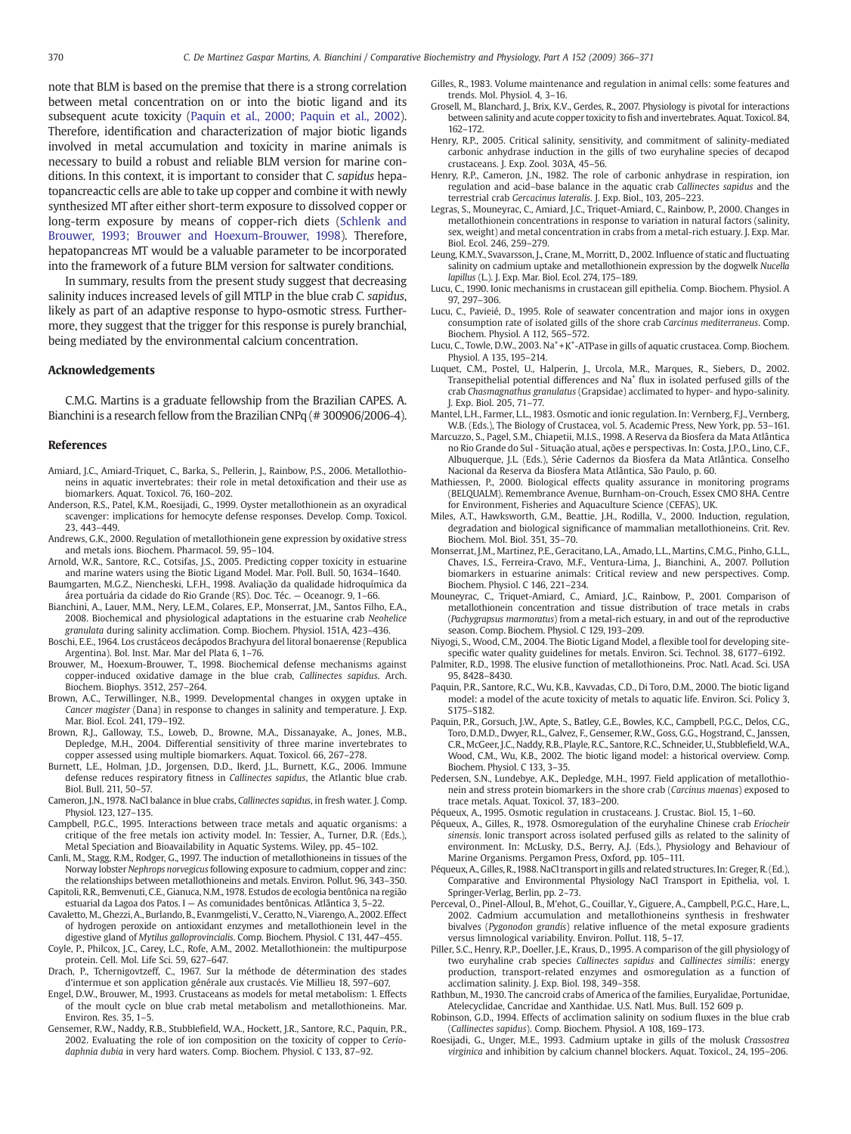<span id="page-4-0"></span>note that BLM is based on the premise that there is a strong correlation between metal concentration on or into the biotic ligand and its subsequent acute toxicity (Paquin et al., 2000; Paquin et al., 2002). Therefore, identification and characterization of major biotic ligands involved in metal accumulation and toxicity in marine animals is necessary to build a robust and reliable BLM version for marine conditions. In this context, it is important to consider that C. sapidus hepatopancreactic cells are able to take up copper and combine it with newly synthesized MT after either short-term exposure to dissolved copper or long-term exposure by means of copper-rich diets [\(Schlenk and](#page-5-0) [Brouwer, 1993; Brouwer and Hoexum-Brouwer, 1998\)](#page-5-0). Therefore, hepatopancreas MT would be a valuable parameter to be incorporated into the framework of a future BLM version for saltwater conditions.

In summary, results from the present study suggest that decreasing salinity induces increased levels of gill MTLP in the blue crab C. sapidus, likely as part of an adaptive response to hypo-osmotic stress. Furthermore, they suggest that the trigger for this response is purely branchial, being mediated by the environmental calcium concentration.

#### Acknowledgements

C.M.G. Martins is a graduate fellowship from the Brazilian CAPES. A. Bianchini is a research fellow from the Brazilian CNPq (# 300906/2006-4).

#### References

- Amiard, J.C., Amiard-Triquet, C., Barka, S., Pellerin, J., Rainbow, P.S., 2006. Metallothioneins in aquatic invertebrates: their role in metal detoxification and their use as biomarkers. Aquat. Toxicol. 76, 160–202.
- Anderson, R.S., Patel, K.M., Roesijadi, G., 1999. Oyster metallothionein as an oxyradical scavenger: implications for hemocyte defense responses. Develop. Comp. Toxicol. 23, 443–449.
- Andrews, G.K., 2000. Regulation of metallothionein gene expression by oxidative stress and metals ions. Biochem. Pharmacol. 59, 95–104.
- Arnold, W.R., Santore, R.C., Cotsifas, J.S., 2005. Predicting copper toxicity in estuarine and marine waters using the Biotic Ligand Model. Mar. Poll. Bull. 50, 1634–1640. Baumgarten, M.G.Z., Niencheski, L.F.H., 1998. Avaliação da qualidade hidroquímica da
- área portuária da cidade do Rio Grande (RS). Doc. Téc. Oceanogr. 9, 1–66.
- Bianchini, A., Lauer, M.M., Nery, L.E.M., Colares, E.P., Monserrat, J.M., Santos Filho, E.A., 2008. Biochemical and physiological adaptations in the estuarine crab Neohelice granulata during salinity acclimation. Comp. Biochem. Physiol. 151A, 423–436.
- Boschi, E.E., 1964. Los crustáceos decápodos Brachyura del litoral bonaerense (Republica Argentina). Bol. Inst. Mar. Mar del Plata 6, 1–76.
- Brouwer, M., Hoexum-Brouwer, T., 1998. Biochemical defense mechanisms against copper-induced oxidative damage in the blue crab, Callinectes sapidus. Arch. Biochem. Biophys. 3512, 257–264.
- Brown, A.C., Terwillinger, N.B., 1999. Developmental changes in oxygen uptake in Cancer magister (Dana) in response to changes in salinity and temperature. J. Exp. Mar. Biol. Ecol. 241, 179–192.
- Brown, R.J., Galloway, T.S., Loweb, D., Browne, M.A., Dissanayake, A., Jones, M.B., Depledge, M.H., 2004. Differential sensitivity of three marine invertebrates to copper assessed using multiple biomarkers. Aquat. Toxicol. 66, 267–278.
- Burnett, L.E., Holman, J.D., Jorgensen, D.D., Ikerd, J.L., Burnett, K.G., 2006. Immune defense reduces respiratory fitness in Callinectes sapidus, the Atlantic blue crab. Biol. Bull. 211, 50–57.
- Cameron, J.N., 1978. NaCl balance in blue crabs, Callinectes sapidus, in fresh water. J. Comp. Physiol. 123, 127–135.
- Campbell, P.G.C., 1995. Interactions between trace metals and aquatic organisms: a critique of the free metals ion activity model. In: Tessier, A., Turner, D.R. (Eds.), Metal Speciation and Bioavailability in Aquatic Systems. Wiley, pp. 45–102.
- Canli, M., Stagg, R.M., Rodger, G., 1997. The induction of metallothioneins in tissues of the Norway lobster Nephrops norvegicus following exposure to cadmium, copper and zinc: the relationships between metallothioneins and metals. Environ. Pollut. 96, 343–350.
- Capitoli, R.R., Bemvenuti, C.E., Gianuca, N.M.,1978. Estudos de ecologia bentônica na região estuarial da Lagoa dos Patos. I — As comunidades bentônicas. Atlântica 3, 5–22.
- Cavaletto, M., Ghezzi, A., Burlando, B., Evanmgelisti, V., Ceratto, N., Viarengo, A., 2002. Effect of hydrogen peroxide on antioxidant enzymes and metallothionein level in the digestive gland of Mytilus galloprovincialis. Comp. Biochem. Physiol. C 131, 447–455.
- Coyle, P., Philcox, J.C., Carey, L.C., Rofe, A.M., 2002. Metallothionein: the multipurpose protein. Cell. Mol. Life Sci. 59, 627–647.
- Drach, P., Tchernigovtzeff, C., 1967. Sur la méthode de détermination des stades d'intermue et son application générale aux crustacés. Vie Millieu 18, 597–607.
- Engel, D.W., Brouwer, M., 1993. Crustaceans as models for metal metabolism: 1. Effects of the moult cycle on blue crab metal metabolism and metallothioneins. Mar. Environ. Res. 35, 1–5.
- Gensemer, R.W., Naddy, R.B., Stubblefield, W.A., Hockett, J.R., Santore, R.C., Paquin, P.R., 2002. Evaluating the role of ion composition on the toxicity of copper to Ceriodaphnia dubia in very hard waters. Comp. Biochem. Physiol. C 133, 87-92.
- Gilles, R., 1983. Volume maintenance and regulation in animal cells: some features and trends. Mol. Physiol. 4, 3–16.
- Grosell, M., Blanchard, J., Brix, K.V., Gerdes, R., 2007. Physiology is pivotal for interactions between salinity and acute copper toxicity to fish and invertebrates. Aquat. Toxicol. 84, 162–172.
- Henry, R.P., 2005. Critical salinity, sensitivity, and commitment of salinity-mediated carbonic anhydrase induction in the gills of two euryhaline species of decapod crustaceans. J. Exp. Zool. 303A, 45–56.
- Henry, R.P., Cameron, J.N., 1982. The role of carbonic anhydrase in respiration, ion regulation and acid–base balance in the aquatic crab Callinectes sapidus and the terrestrial crab Gercacinus lateralis. J. Exp. Biol., 103, 205–223.
- Legras, S., Mouneyrac, C., Amiard, J.C., Triquet-Amiard, C., Rainbow, P., 2000. Changes in metallothionein concentrations in response to variation in natural factors (salinity, sex, weight) and metal concentration in crabs from a metal-rich estuary. J. Exp. Mar. Biol. Ecol. 246, 259–279.
- Leung, K.M.Y., Svavarsson, J., Crane, M., Morritt, D., 2002. Influence of static and fluctuating salinity on cadmium uptake and metallothionein expression by the dogwelk Nucella lapillus (L.). J. Exp. Mar. Biol. Ecol. 274, 175–189.
- Lucu, C., 1990. Ionic mechanisms in crustacean gill epithelia. Comp. Biochem. Physiol. A 97, 297–306.
- Lucu, C., Pavieié, D., 1995. Role of seawater concentration and major ions in oxygen consumption rate of isolated gills of the shore crab Carcinus mediterraneus. Comp. Biochem. Physiol. A 112, 565–572.
- Lucu, C., Towle, D.W., 2003. Na<sup>+</sup> + K<sup>+</sup>-ATPase in gills of aquatic crustacea. Comp. Biochem. Physiol. A 135, 195–214.
- Luquet, C.M., Postel, U., Halperin, J., Urcola, M.R., Marques, R., Siebers, D., 2002. Transepithelial potential differences and Na<sup>+</sup> flux in isolated perfused gills of the crab Chasmagnathus granulatus (Grapsidae) acclimated to hyper- and hypo-salinity. J. Exp. Biol. 205, 71–77.
- Mantel, L.H., Farmer, L.L., 1983. Osmotic and ionic regulation. In: Vernberg, F.J., Vernberg, W.B. (Eds.), The Biology of Crustacea, vol. 5. Academic Press, New York, pp. 53–161.
- Marcuzzo, S., Pagel, S.M., Chiapetii, M.I.S., 1998. A Reserva da Biosfera da Mata Atlântica no Rio Grande do Sul - Situação atual, ações e perspectivas. In: Costa, J.P.O., Lino, C.F., Albuquerque, J.L. (Eds.), Série Cadernos da Biosfera da Mata Atlântica. Conselho Nacional da Reserva da Biosfera Mata Atlântica, São Paulo, p. 60.
- Mathiessen, P., 2000. Biological effects quality assurance in monitoring programs (BELQUALM). Remembrance Avenue, Burnham-on-Crouch, Essex CMO 8HA. Centre for Environment, Fisheries and Aquaculture Science (CEFAS), UK.
- Miles, A.T., Hawksworth, G.M., Beattie, J.H., Rodilla, V., 2000. Induction, regulation, degradation and biological significance of mammalian metallothioneins. Crit. Rev. Biochem. Mol. Biol. 351, 35–70.
- Monserrat, J.M., Martinez, P.E., Geracitano, L.A., Amado, L.L., Martins, C.M.G., Pinho, G.L.L., Chaves, I.S., Ferreira-Cravo, M.F., Ventura-Lima, J., Bianchini, A., 2007. Pollution biomarkers in estuarine animals: Critical review and new perspectives. Comp. Biochem. Physiol. C 146, 221–234.
- Mouneyrac, C., Triquet-Amiard, C., Amiard, J.C., Rainbow, P., 2001. Comparison of metallothionein concentration and tissue distribution of trace metals in crabs (Pachygrapsus marmoratus) from a metal-rich estuary, in and out of the reproductive season. Comp. Biochem. Physiol. C 129, 193–209.
- Niyogi, S., Wood, C.M., 2004. The Biotic Ligand Model, a flexible tool for developing sitespecific water quality guidelines for metals. Environ. Sci. Technol. 38, 6177–6192.
- Palmiter, R.D., 1998. The elusive function of metallothioneins. Proc. Natl. Acad. Sci. USA 95, 8428–8430.
- Paquin, P.R., Santore, R.C., Wu, K.B., Kavvadas, C.D., Di Toro, D.M., 2000. The biotic ligand model: a model of the acute toxicity of metals to aquatic life. Environ. Sci. Policy 3, S175–S182.
- Paquin, P.R., Gorsuch, J.W., Apte, S., Batley, G.E., Bowles, K.C., Campbell, P.G.C., Delos, C.G., Toro, D.M.D., Dwyer, R.L., Galvez, F., Gensemer, R.W., Goss, G.G., Hogstrand, C., Janssen, C.R., McGeer, J.C., Naddy, R.B., Playle, R.C., Santore, R.C., Schneider, U., Stubblefield, W.A., Wood, C.M., Wu, K.B., 2002. The biotic ligand model: a historical overview. Comp. Biochem. Physiol. C 133, 3–35.
- Pedersen, S.N., Lundebye, A.K., Depledge, M.H., 1997. Field application of metallothionein and stress protein biomarkers in the shore crab (Carcinus maenas) exposed to trace metals. Aquat. Toxicol. 37, 183–200.

Péqueux, A., 1995. Osmotic regulation in crustaceans. J. Crustac. Biol. 15, 1–60.

- Péqueux, A., Gilles, R., 1978. Osmoregulation of the euryhaline Chinese crab Eriocheir sinensis. Ionic transport across isolated perfused gills as related to the salinity of environment. In: McLusky, D.S., Berry, A.J. (Eds.), Physiology and Behaviour of Marine Organisms. Pergamon Press, Oxford, pp. 105–111.
- Péqueux, A., Gilles, R.,1988. NaCl transport in gills and related structures. In: Greger, R. (Ed.), Comparative and Environmental Physiology NaCl Transport in Epithelia, vol. 1. Springer-Verlag, Berlin, pp. 2–73.
- Perceval, O., Pinel-Alloul, B., M'ehot, G., Couillar, Y., Giguere, A., Campbell, P.G.C., Hare, L., 2002. Cadmium accumulation and metallothioneins synthesis in freshwater bivalves (Pygonodon grandis) relative influence of the metal exposure gradients versus limnological variability. Environ. Pollut. 118, 5–17.
- Piller, S.C., Henry, R.P., Doeller, J.E., Kraus, D., 1995. A comparison of the gill physiology of two euryhaline crab species Callinectes sapidus and Callinectes similis: energy production, transport-related enzymes and osmoregulation as a function of acclimation salinity. J. Exp. Biol. 198, 349–358.
- Rathbun, M., 1930. The cancroid crabs of America of the families, Euryalidae, Portunidae, Atelecyclidae, Cancridae and Xanthidae. U.S. Natl. Mus. Bull. 152 609 p.
- Robinson, G.D., 1994. Effects of acclimation salinity on sodium fluxes in the blue crab (Callinectes sapidus). Comp. Biochem. Physiol. A 108, 169–173.
- Roesijadi, G., Unger, M.E., 1993. Cadmium uptake in gills of the molusk Crassostrea virginica and inhibition by calcium channel blockers. Aquat. Toxicol., 24, 195–206.